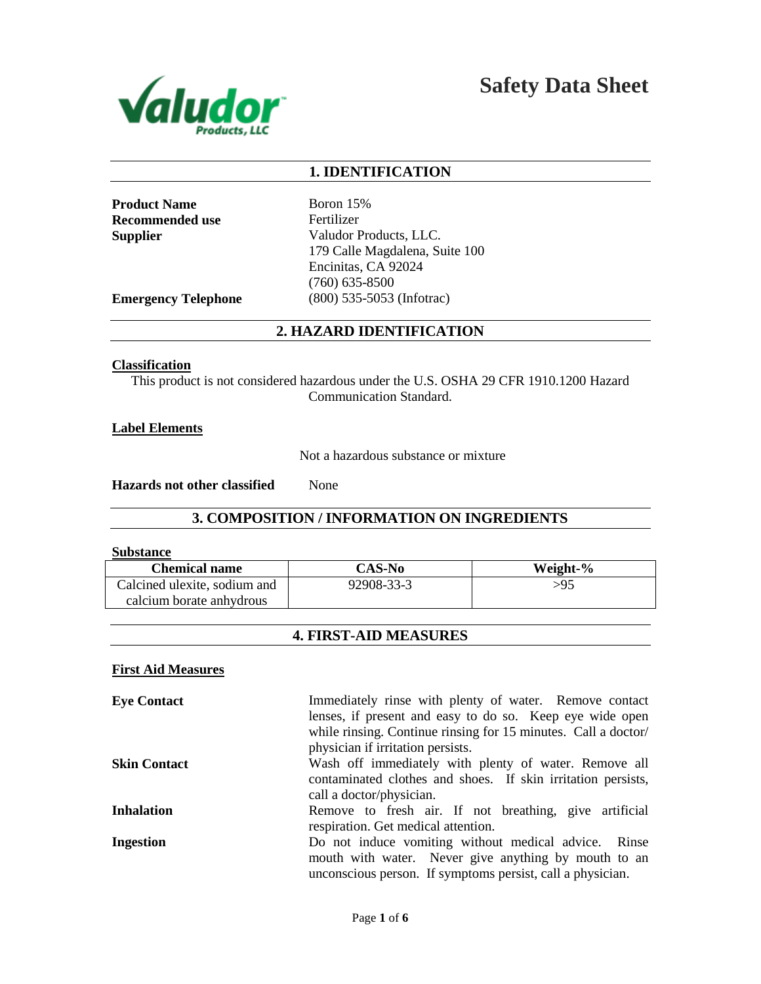

# **1. IDENTIFICATION**

**Product Name** Boron 15% **Recommended use** Fertilizer

**Supplier** Valudor Products, LLC. 179 Calle Magdalena, Suite 100 Encinitas, CA 92024 (760) 635-8500 **Emergency Telephone** (800) 535-5053 (Infotrac)

# **2. HAZARD IDENTIFICATION**

#### **Classification**

This product is not considered hazardous under the U.S. OSHA 29 CFR 1910.1200 Hazard Communication Standard.

**Label Elements**

Not a hazardous substance or mixture

**Hazards not other classified** None

# **3. COMPOSITION / INFORMATION ON INGREDIENTS**

#### **Substance**

| <b>Chemical name</b>         | <b>CAS-No</b> | Weight-% |
|------------------------------|---------------|----------|
| Calcined ulexite, sodium and | 92908-33-3    | >95      |
| calcium borate anhydrous     |               |          |

# **4. FIRST-AID MEASURES**

#### **First Aid Measures**

| <b>Eye Contact</b>  | Immediately rinse with plenty of water. Remove contact         |
|---------------------|----------------------------------------------------------------|
|                     | lenses, if present and easy to do so. Keep eye wide open       |
|                     | while rinsing. Continue rinsing for 15 minutes. Call a doctor/ |
|                     | physician if irritation persists.                              |
| <b>Skin Contact</b> | Wash off immediately with plenty of water. Remove all          |
|                     | contaminated clothes and shoes. If skin irritation persists,   |
|                     | call a doctor/physician.                                       |
| <b>Inhalation</b>   | Remove to fresh air. If not breathing, give artificial         |
|                     | respiration. Get medical attention.                            |
| <b>Ingestion</b>    | Do not induce vomiting without medical advice. Rinse           |
|                     | mouth with water. Never give anything by mouth to an           |
|                     | unconscious person. If symptoms persist, call a physician.     |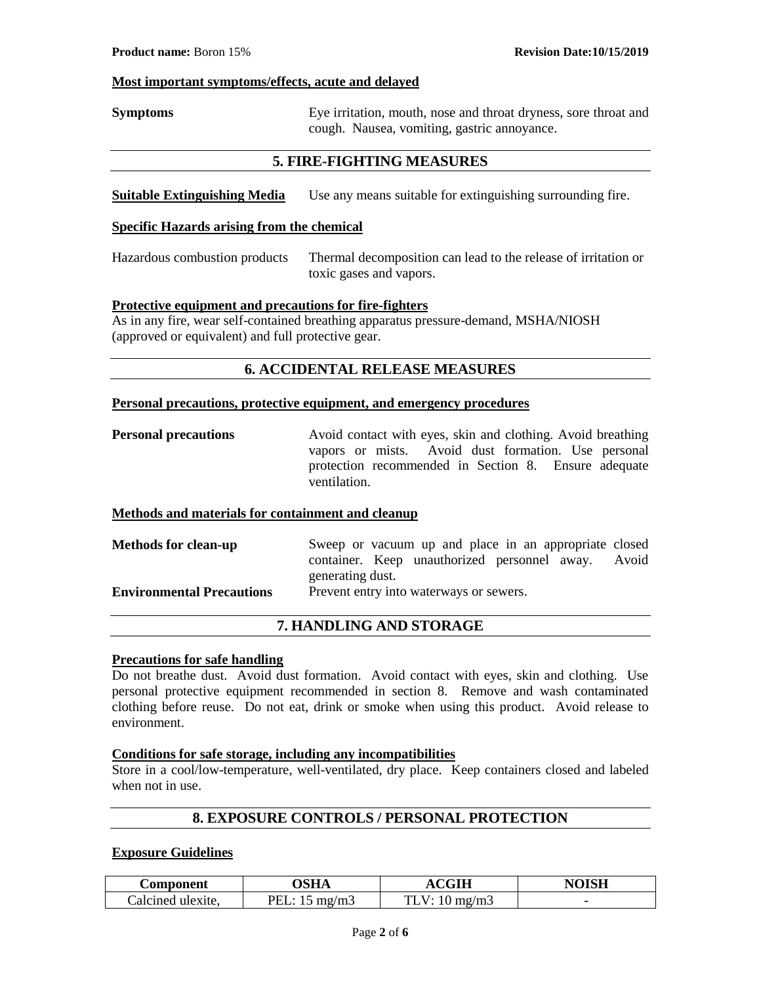#### **Most important symptoms/effects, acute and delayed**

**Symptoms** Eye irritation, mouth, nose and throat dryness, sore throat and cough. Nausea, vomiting, gastric annoyance.

# **5. FIRE-FIGHTING MEASURES**

**Suitable Extinguishing Media** Use any means suitable for extinguishing surrounding fire.

#### **Specific Hazards arising from the chemical**

Hazardous combustion products Thermal decomposition can lead to the release of irritation or toxic gases and vapors.

#### **Protective equipment and precautions for fire-fighters**

As in any fire, wear self-contained breathing apparatus pressure-demand, MSHA/NIOSH (approved or equivalent) and full protective gear.

# **6. ACCIDENTAL RELEASE MEASURES**

#### **Personal precautions, protective equipment, and emergency procedures**

**Personal precautions** Avoid contact with eyes, skin and clothing. Avoid breathing vapors or mists. Avoid dust formation. Use personal protection recommended in Section 8. Ensure adequate ventilation.

#### **Methods and materials for containment and cleanup**

| <b>Methods for clean-up</b>      | Sweep or vacuum up and place in an appropriate closed |       |
|----------------------------------|-------------------------------------------------------|-------|
|                                  | container. Keep unauthorized personnel away.          | Avoid |
|                                  | generating dust.                                      |       |
| <b>Environmental Precautions</b> | Prevent entry into waterways or sewers.               |       |

# **7. HANDLING AND STORAGE**

#### **Precautions for safe handling**

Do not breathe dust. Avoid dust formation. Avoid contact with eyes, skin and clothing. Use personal protective equipment recommended in section 8. Remove and wash contaminated clothing before reuse. Do not eat, drink or smoke when using this product. Avoid release to environment.

# **Conditions for safe storage, including any incompatibilities**

Store in a cool/low-temperature, well-ventilated, dry place. Keep containers closed and labeled when not in use.

#### **8. EXPOSURE CONTROLS / PERSONAL PROTECTION**

#### **Exposure Guidelines**

| Component         | <b>OSHA</b>            | <b>ACGIH</b>             | <b>NOISH</b> |
|-------------------|------------------------|--------------------------|--------------|
| Calcined ulexite. | PEL: $15 \text{ mg/m}$ | TLV: $10 \text{ mg/m}$ 3 | -            |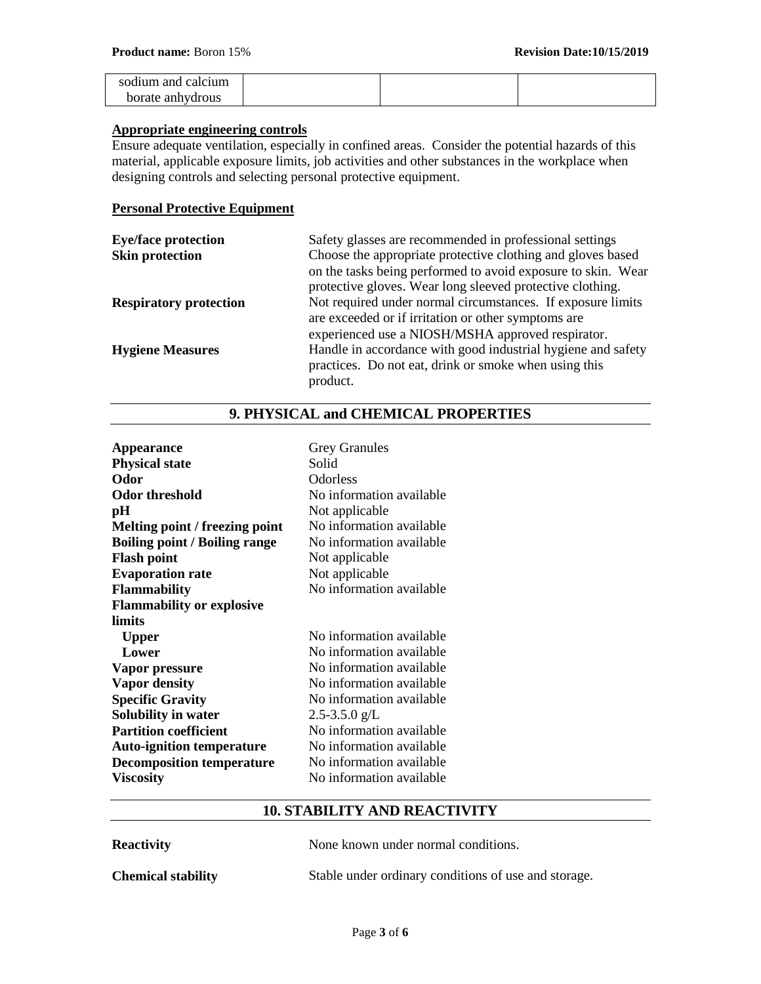| sodium and calcium |  |  |
|--------------------|--|--|
| borate anhydrous   |  |  |

#### **Appropriate engineering controls**

Ensure adequate ventilation, especially in confined areas. Consider the potential hazards of this material, applicable exposure limits, job activities and other substances in the workplace when designing controls and selecting personal protective equipment.

## **Personal Protective Equipment**

| <b>Eye/face protection</b>    | Safety glasses are recommended in professional settings      |
|-------------------------------|--------------------------------------------------------------|
| <b>Skin protection</b>        | Choose the appropriate protective clothing and gloves based  |
|                               | on the tasks being performed to avoid exposure to skin. Wear |
|                               | protective gloves. Wear long sleeved protective clothing.    |
| <b>Respiratory protection</b> | Not required under normal circumstances. If exposure limits  |
|                               | are exceeded or if irritation or other symptoms are          |
|                               | experienced use a NIOSH/MSHA approved respirator.            |
| <b>Hygiene Measures</b>       | Handle in accordance with good industrial hygiene and safety |
|                               | practices. Do not eat, drink or smoke when using this        |
|                               | product.                                                     |

| <b>Appearance</b>                    | <b>Grey Granules</b>     |
|--------------------------------------|--------------------------|
| <b>Physical state</b>                | Solid                    |
| Odor                                 | <b>Odorless</b>          |
| <b>Odor threshold</b>                | No information available |
| pН                                   | Not applicable           |
| Melting point / freezing point       | No information available |
| <b>Boiling point / Boiling range</b> | No information available |
| <b>Flash point</b>                   | Not applicable           |
| <b>Evaporation rate</b>              | Not applicable           |
| <b>Flammability</b>                  | No information available |
| <b>Flammability or explosive</b>     |                          |
| limits                               |                          |
| <b>Upper</b>                         | No information available |
| Lower                                | No information available |
| Vapor pressure                       | No information available |
| <b>Vapor density</b>                 | No information available |
| <b>Specific Gravity</b>              | No information available |
| Solubility in water                  | $2.5 - 3.5.0$ g/L        |
| <b>Partition coefficient</b>         | No information available |
| <b>Auto-ignition temperature</b>     | No information available |
| <b>Decomposition temperature</b>     | No information available |
| <b>Viscosity</b>                     | No information available |

# **9. PHYSICAL and CHEMICAL PROPERTIES**

#### **10. STABILITY AND REACTIVITY**

| <b>Reactivity</b>         | None known under normal conditions.                  |
|---------------------------|------------------------------------------------------|
| <b>Chemical stability</b> | Stable under ordinary conditions of use and storage. |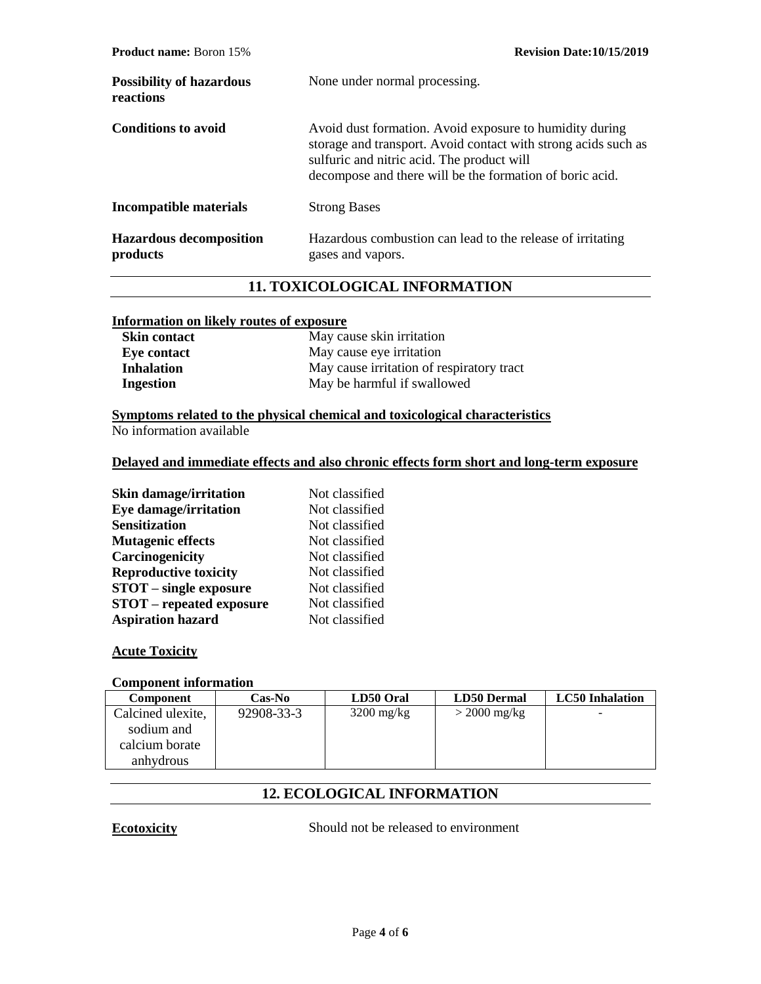| <b>Product name:</b> Boron 15%               | <b>Revision Date:10/15/2019</b>                                                                                                                                                                                                     |
|----------------------------------------------|-------------------------------------------------------------------------------------------------------------------------------------------------------------------------------------------------------------------------------------|
| <b>Possibility of hazardous</b><br>reactions | None under normal processing.                                                                                                                                                                                                       |
| <b>Conditions to avoid</b>                   | Avoid dust formation. Avoid exposure to humidity during<br>storage and transport. Avoid contact with strong acids such as<br>sulfuric and nitric acid. The product will<br>decompose and there will be the formation of boric acid. |
| Incompatible materials                       | <b>Strong Bases</b>                                                                                                                                                                                                                 |
| <b>Hazardous decomposition</b><br>products   | Hazardous combustion can lead to the release of irritating<br>gases and vapors.                                                                                                                                                     |

# **11. TOXICOLOGICAL INFORMATION**

#### **Information on likely routes of exposure**

| <b>Skin contact</b> | May cause skin irritation                 |
|---------------------|-------------------------------------------|
| Eye contact         | May cause eye irritation                  |
| <b>Inhalation</b>   | May cause irritation of respiratory tract |
| Ingestion           | May be harmful if swallowed               |

# **Symptoms related to the physical chemical and toxicological characteristics**

No information available

#### **Delayed and immediate effects and also chronic effects form short and long-term exposure**

| Eye damage/irritation<br><b>Sensitization</b><br><b>Mutagenic effects</b><br>Carcinogenicity<br><b>Reproductive toxicity</b><br><b>STOT</b> – single exposure<br><b>STOT</b> – repeated exposure<br><b>Aspiration hazard</b> | <b>Skin damage/irritation</b> | Not classified |
|------------------------------------------------------------------------------------------------------------------------------------------------------------------------------------------------------------------------------|-------------------------------|----------------|
|                                                                                                                                                                                                                              |                               | Not classified |
|                                                                                                                                                                                                                              |                               | Not classified |
|                                                                                                                                                                                                                              |                               | Not classified |
|                                                                                                                                                                                                                              |                               | Not classified |
|                                                                                                                                                                                                                              |                               | Not classified |
|                                                                                                                                                                                                                              |                               | Not classified |
|                                                                                                                                                                                                                              |                               | Not classified |
|                                                                                                                                                                                                                              |                               | Not classified |

# **Acute Toxicity**

#### **Component information**

| <b>Component</b>  | Cas-No     | LD50 Oral            | <b>LD50 Dermal</b> | <b>LC50</b> Inhalation |
|-------------------|------------|----------------------|--------------------|------------------------|
| Calcined ulexite, | 92908-33-3 | $3200 \text{ mg/kg}$ | $>$ 2000 mg/kg     |                        |
| sodium and        |            |                      |                    |                        |
| calcium borate    |            |                      |                    |                        |
| anhydrous         |            |                      |                    |                        |

# **12. ECOLOGICAL INFORMATION**

**Ecotoxicity** Should not be released to environment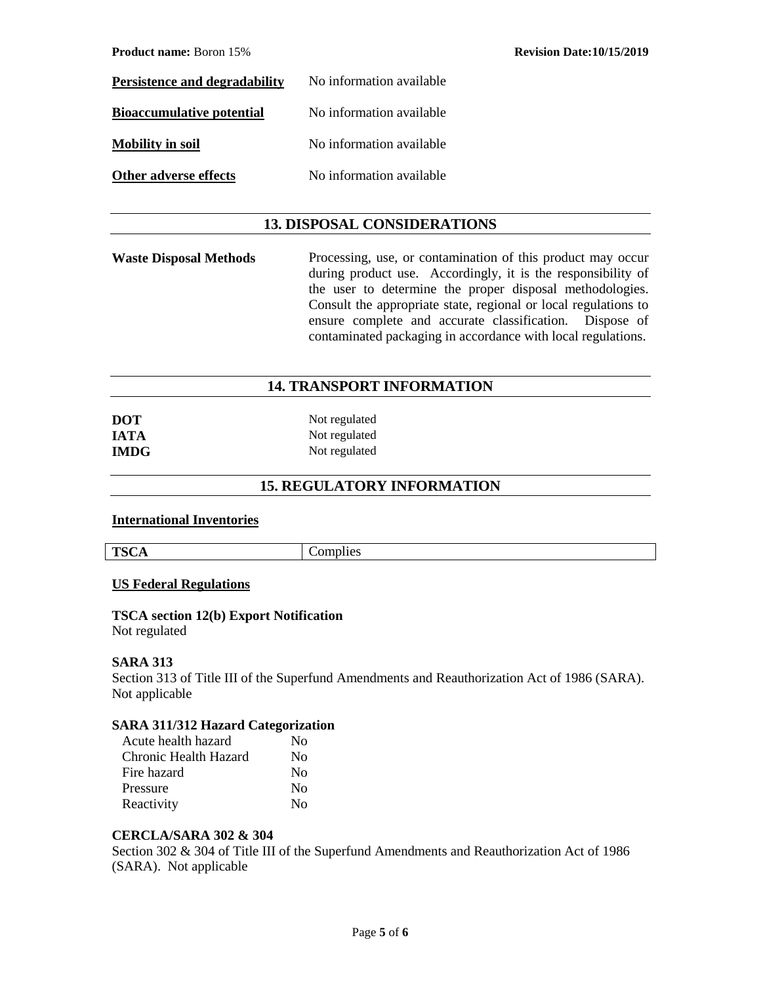| <b>Persistence and degradability</b> | No information available |
|--------------------------------------|--------------------------|
| <b>Bioaccumulative potential</b>     | No information available |
| <b>Mobility in soil</b>              | No information available |
| Other adverse effects                | No information available |

## **13. DISPOSAL CONSIDERATIONS**

Waste Disposal Methods Processing, use, or contamination of this product may occur during product use. Accordingly, it is the responsibility of the user to determine the proper disposal methodologies. Consult the appropriate state, regional or local regulations to ensure complete and accurate classification. Dispose of contaminated packaging in accordance with local regulations.

# **14. TRANSPORT INFORMATION**

| <b>DOT</b>  | Not regulated |
|-------------|---------------|
| <b>IATA</b> | Not regulated |
| <b>IMDG</b> | Not regulated |

# **15. REGULATORY INFORMATION**

#### **International Inventories**

| <b>TSCA</b> | Complies |
|-------------|----------|

#### **US Federal Regulations**

# **TSCA section 12(b) Export Notification**

Not regulated

#### **SARA 313**

Section 313 of Title III of the Superfund Amendments and Reauthorization Act of 1986 (SARA). Not applicable

#### **SARA 311/312 Hazard Categorization**

| Acute health hazard   | No |
|-----------------------|----|
| Chronic Health Hazard | No |
| Fire hazard           | No |
| Pressure              | No |
| Reactivity            | Nο |

#### **CERCLA/SARA 302 & 304**

Section 302 & 304 of Title III of the Superfund Amendments and Reauthorization Act of 1986 (SARA). Not applicable